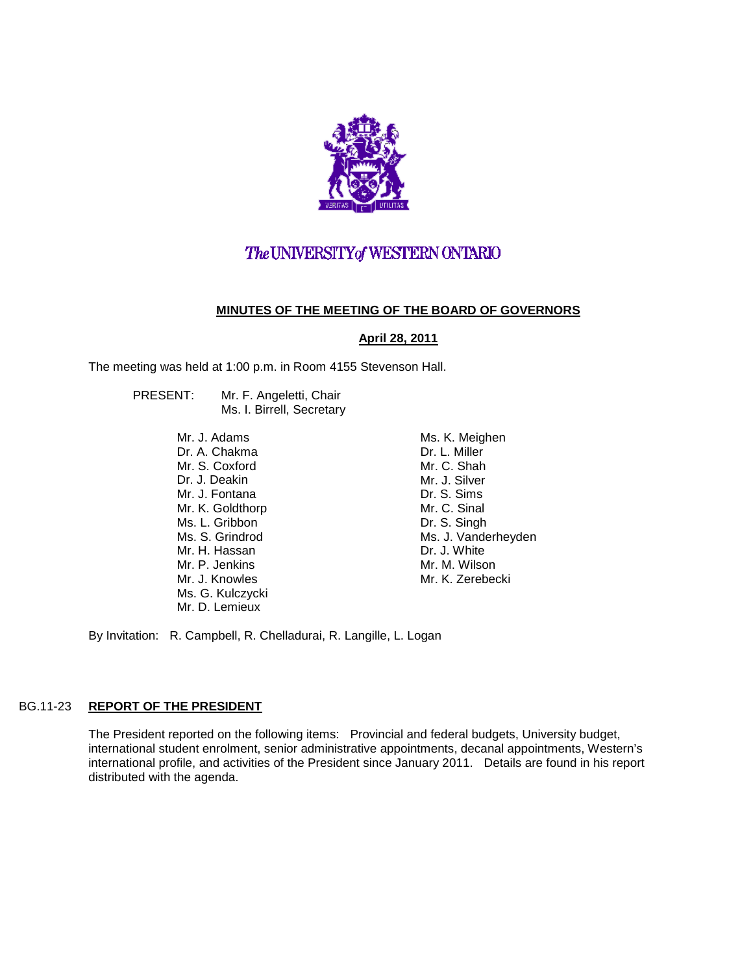

### The UNIVERSITY of WESTERN ONTARIO

### **MINUTES OF THE MEETING OF THE BOARD OF GOVERNORS**

### **April 28, 2011**

The meeting was held at 1:00 p.m. in Room 4155 Stevenson Hall.

| PRESENT: | Mr. F. Angeletti, Chair   |
|----------|---------------------------|
|          | Ms. I. Birrell, Secretary |

Mr. J. Adams Dr. A. Chakma Mr. S. Coxford Dr. J. Deakin Mr. J. Fontana Mr. K. Goldthorp Ms. L. Gribbon Ms. S. Grindrod Mr. H. Hassan Mr. P. Jenkins Mr. J. Knowles Ms. G. Kulczycki Mr. D. Lemieux

Ms. K. Meighen Dr. L. Miller Mr. C. Shah Mr. J. Silver Dr. S. Sims Mr. C. Sinal Dr. S. Singh Ms. J. Vanderheyden Dr. J. White Mr. M. Wilson Mr. K. Zerebecki

By Invitation: R. Campbell, R. Chelladurai, R. Langille, L. Logan

### BG.11-23 **REPORT OF THE PRESIDENT**

The President reported on the following items: Provincial and federal budgets, University budget, international student enrolment, senior administrative appointments, decanal appointments, Western's international profile, and activities of the President since January 2011. Details are found in his report distributed with the agenda.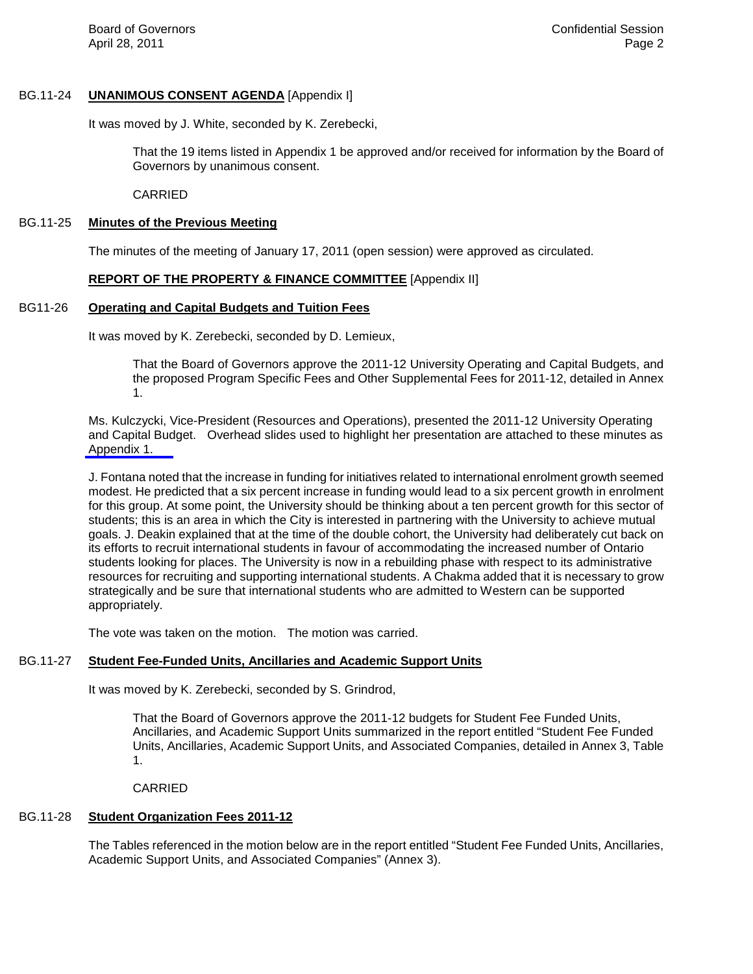#### BG.11-24 **UNANIMOUS CONSENT AGENDA** [Appendix I]

It was moved by J. White, seconded by K. Zerebecki,

That the 19 items listed in Appendix 1 be approved and/or received for information by the Board of Governors by unanimous consent.

CARRIED

#### BG.11-25 **Minutes of the Previous Meeting**

The minutes of the meeting of January 17, 2011 (open session) were approved as circulated.

### **REPORT OF THE PROPERTY & FINANCE COMMITTEE** [Appendix II]

#### BG11-26 **Operating and Capital Budgets and Tuition Fees**

It was moved by K. Zerebecki, seconded by D. Lemieux,

That the Board of Governors approve the 2011-12 University Operating and Capital Budgets, and the proposed Program Specific Fees and Other Supplemental Fees for 2011-12, detailed in Annex 1.

Ms. Kulczycki, Vice-President (Resources and Operations), presented the 2011-12 University Operating and Capital Budget. Overhead slides used to highlight her presentation are attached to these minutes as [Appendix](#page-5-0) 1.

J. Fontana noted that the increase in funding for initiatives related to international enrolment growth seemed modest. He predicted that a six percent increase in funding would lead to a six percent growth in enrolment for this group. At some point, the University should be thinking about a ten percent growth for this sector of students; this is an area in which the City is interested in partnering with the University to achieve mutual goals. J. Deakin explained that at the time of the double cohort, the University had deliberately cut back on its efforts to recruit international students in favour of accommodating the increased number of Ontario students looking for places. The University is now in a rebuilding phase with respect to its administrative resources for recruiting and supporting international students. A Chakma added that it is necessary to grow strategically and be sure that international students who are admitted to Western can be supported appropriately.

The vote was taken on the motion. The motion was carried.

#### BG.11-27 **Student Fee-Funded Units, Ancillaries and Academic Support Units**

It was moved by K. Zerebecki, seconded by S. Grindrod,

That the Board of Governors approve the 2011-12 budgets for Student Fee Funded Units, Ancillaries, and Academic Support Units summarized in the report entitled "Student Fee Funded Units, Ancillaries, Academic Support Units, and Associated Companies, detailed in Annex 3, Table 1.

#### CARRIED

### BG.11-28 **Student Organization Fees 2011-12**

The Tables referenced in the motion below are in the report entitled "Student Fee Funded Units, Ancillaries, Academic Support Units, and Associated Companies" (Annex 3).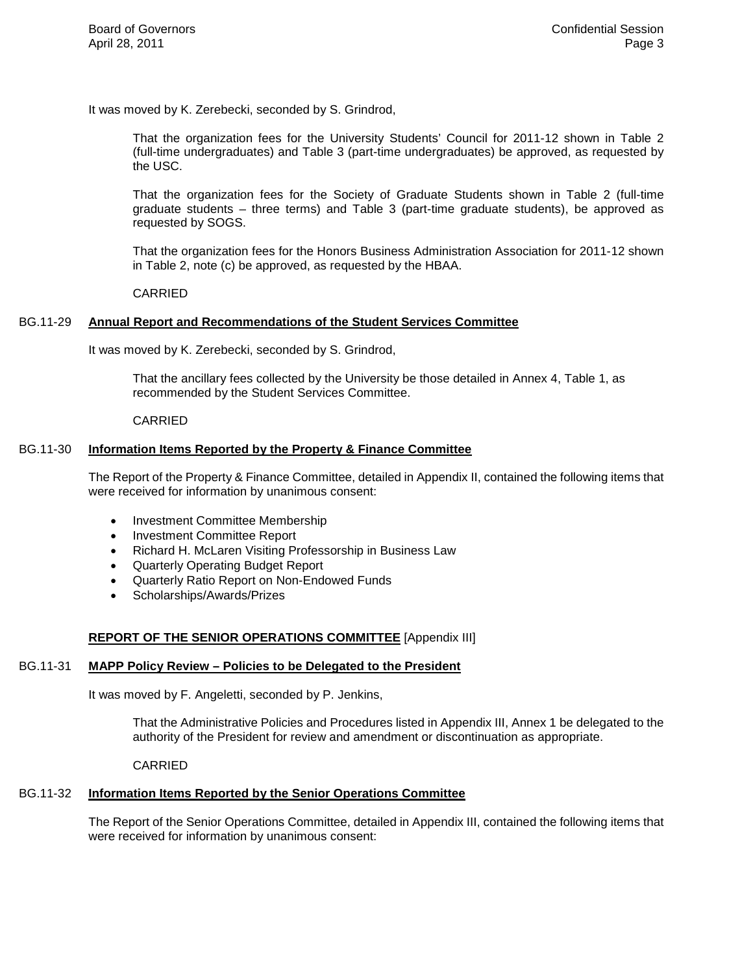It was moved by K. Zerebecki, seconded by S. Grindrod,

That the organization fees for the University Students' Council for 2011-12 shown in Table 2 (full-time undergraduates) and Table 3 (part-time undergraduates) be approved, as requested by the USC.

That the organization fees for the Society of Graduate Students shown in Table 2 (full-time graduate students – three terms) and Table 3 (part-time graduate students), be approved as requested by SOGS.

That the organization fees for the Honors Business Administration Association for 2011-12 shown in Table 2, note (c) be approved, as requested by the HBAA.

CARRIED

#### BG.11-29 **Annual Report and Recommendations of the Student Services Committee**

It was moved by K. Zerebecki, seconded by S. Grindrod,

That the ancillary fees collected by the University be those detailed in Annex 4, Table 1, as recommended by the Student Services Committee.

CARRIED

#### BG.11-30 **Information Items Reported by the Property & Finance Committee**

The Report of the Property & Finance Committee, detailed in Appendix II, contained the following items that were received for information by unanimous consent:

- Investment Committee Membership
- Investment Committee Report
- Richard H. McLaren Visiting Professorship in Business Law
- Quarterly Operating Budget Report
- Quarterly Ratio Report on Non-Endowed Funds
- Scholarships/Awards/Prizes

#### **REPORT OF THE SENIOR OPERATIONS COMMITTEE** [Appendix III]

#### BG.11-31 **MAPP Policy Review – Policies to be Delegated to the President**

It was moved by F. Angeletti, seconded by P. Jenkins,

That the Administrative Policies and Procedures listed in Appendix III, Annex 1 be delegated to the authority of the President for review and amendment or discontinuation as appropriate.

CARRIED

### BG.11-32 **Information Items Reported by the Senior Operations Committee**

The Report of the Senior Operations Committee, detailed in Appendix III, contained the following items that were received for information by unanimous consent: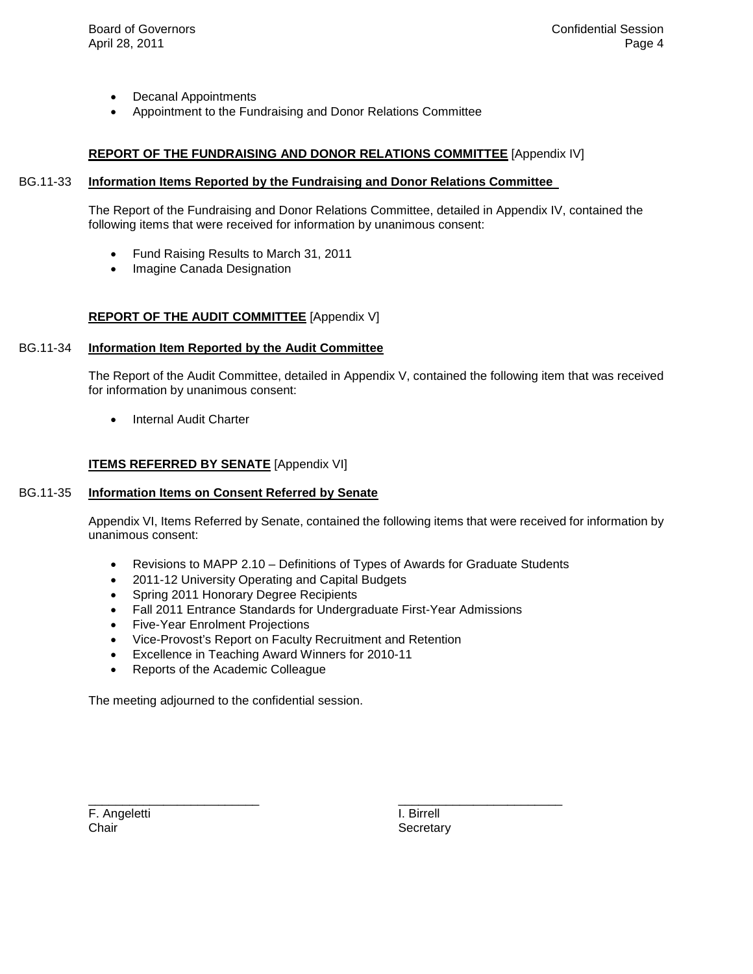- Decanal Appointments
- Appointment to the Fundraising and Donor Relations Committee

### **REPORT OF THE FUNDRAISING AND DONOR RELATIONS COMMITTEE** [Appendix IV]

#### BG.11-33 **Information Items Reported by the Fundraising and Donor Relations Committee**

The Report of the Fundraising and Donor Relations Committee, detailed in Appendix IV, contained the following items that were received for information by unanimous consent:

- Fund Raising Results to March 31, 2011
- Imagine Canada Designation

### **REPORT OF THE AUDIT COMMITTEE** [Appendix V]

#### BG.11-34 **Information Item Reported by the Audit Committee**

The Report of the Audit Committee, detailed in Appendix V, contained the following item that was received for information by unanimous consent:

• Internal Audit Charter

### **ITEMS REFERRED BY SENATE** [Appendix VI]

#### BG.11-35 **Information Items on Consent Referred by Senate**

Appendix VI, Items Referred by Senate, contained the following items that were received for information by unanimous consent:

- Revisions to MAPP 2.10 Definitions of Types of Awards for Graduate Students
- 2011-12 University Operating and Capital Budgets
- Spring 2011 Honorary Degree Recipients
- Fall 2011 Entrance Standards for Undergraduate First-Year Admissions

\_\_\_\_\_\_\_\_\_\_\_\_\_\_\_\_\_\_\_\_\_\_\_\_\_ \_\_\_\_\_\_\_\_\_\_\_\_\_\_\_\_\_\_\_\_\_\_\_\_

- Five-Year Enrolment Projections
- Vice-Provost's Report on Faculty Recruitment and Retention
- Excellence in Teaching Award Winners for 2010-11
- Reports of the Academic Colleague

The meeting adjourned to the confidential session.

F. Angeletti **I. Birrell** Chair Secretary Secretary Chair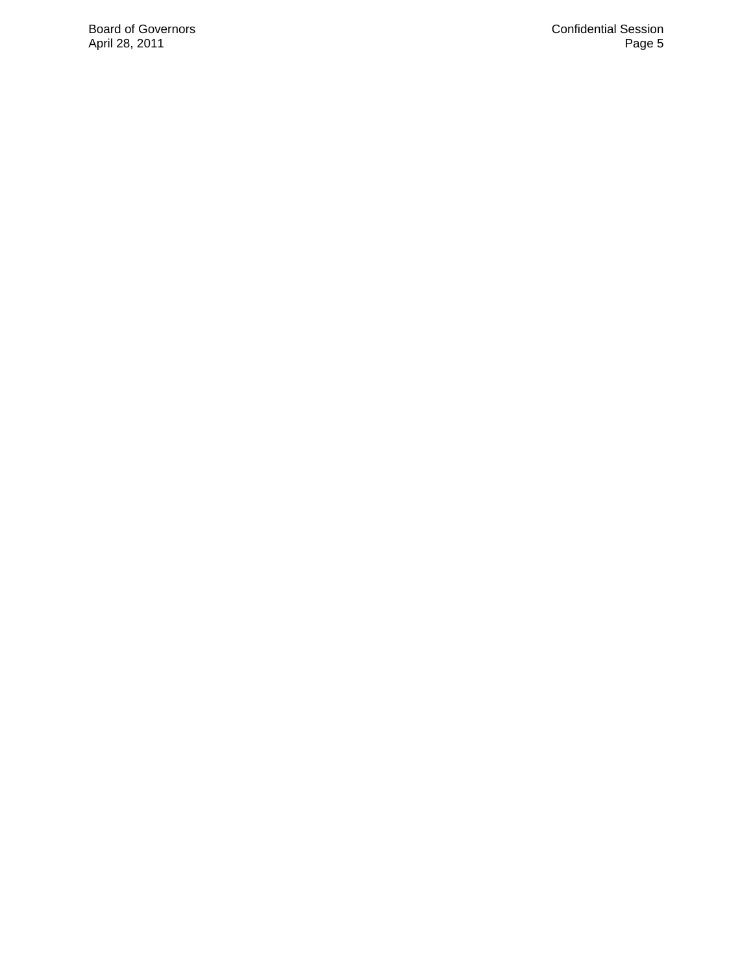Board of Governors **Confidential Session** April 28, 2011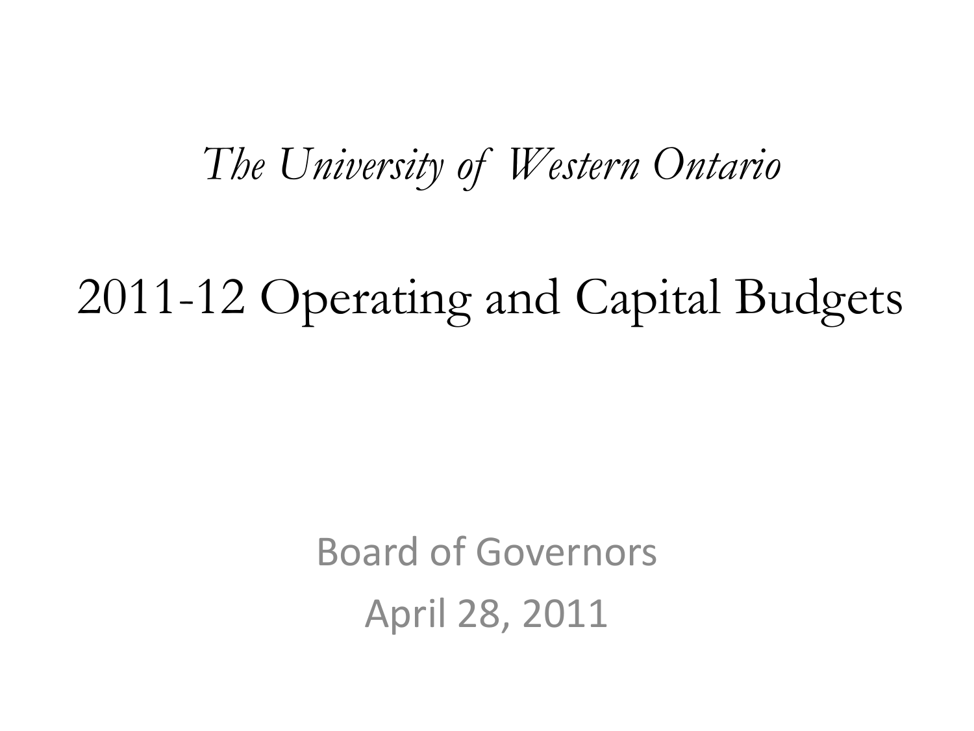### <span id="page-5-0"></span>*The University of Western Ontario*

## 2011-12 Operating and Capital Budgets

Board of Governors April 28, 2011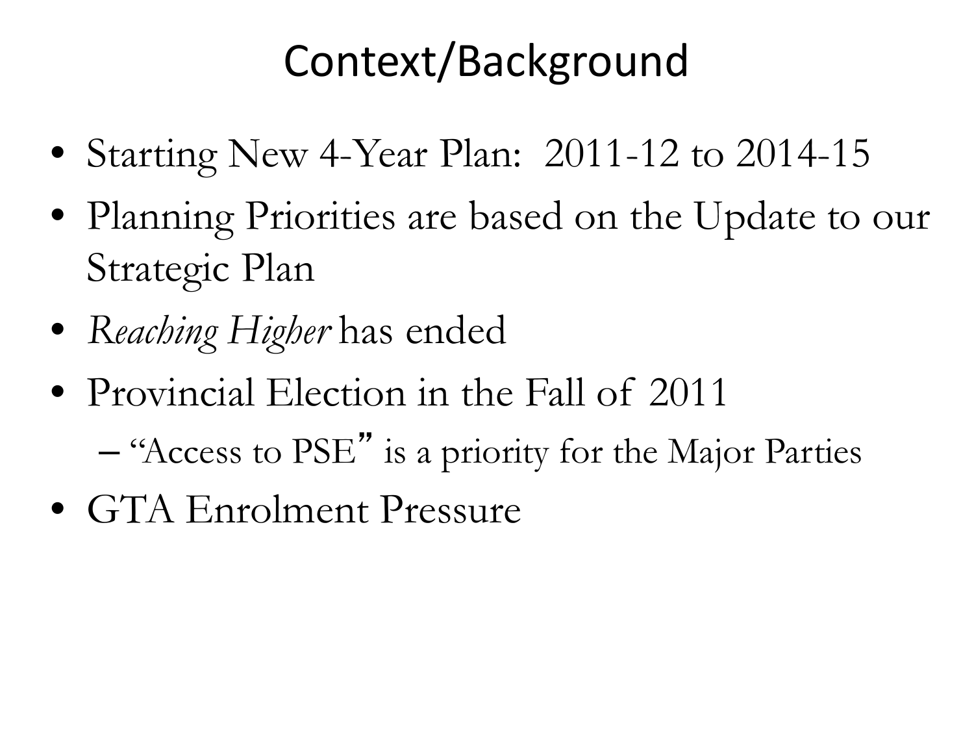## Context/Background

- Starting New 4-Year Plan: 2011-12 to 2014-15
- Planning Priorities are based on the Update to our Strategic Plan
- *Reaching Higher* has ended
- Provincial Election in the Fall of 2011
	- "Access to PSE" is a priority for the Major Parties
- GTA Enrolment Pressure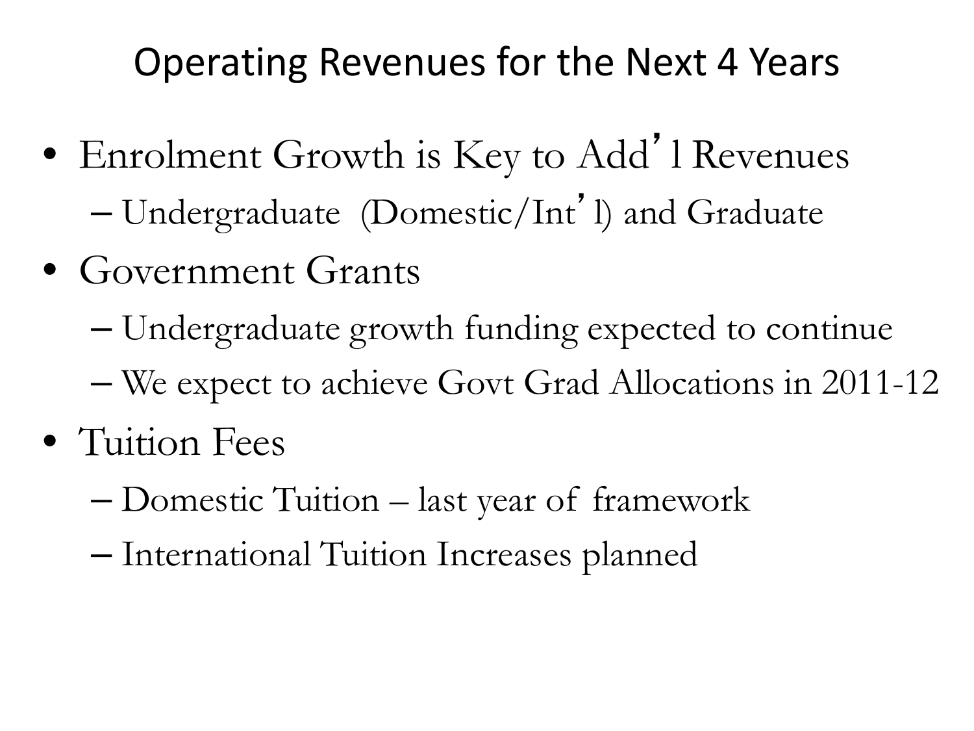## Operating Revenues for the Next 4 Years

- Enrolment Growth is Key to Add'l Revenues – Undergraduate (Domestic/Int'l) and Graduate
- Government Grants
	- Undergraduate growth funding expected to continue
	- We expect to achieve Govt Grad Allocations in 2011-12
- Tuition Fees
	- Domestic Tuition last year of framework
	- International Tuition Increases planned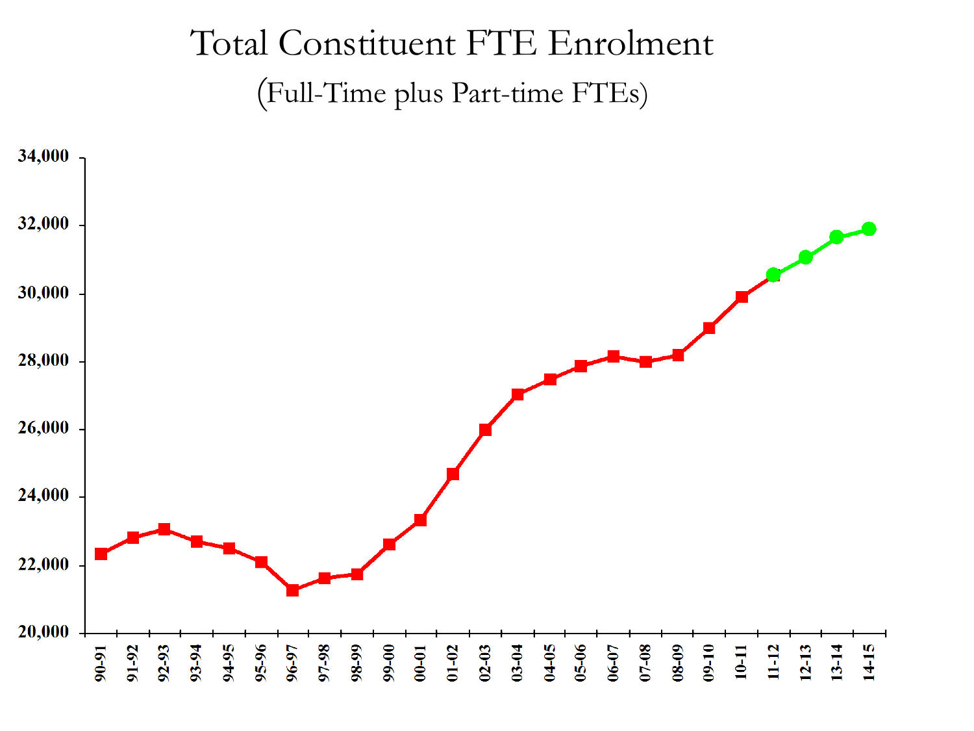### Total Constituent FTE Enrolment (Full-Time plus Part-time FTEs)

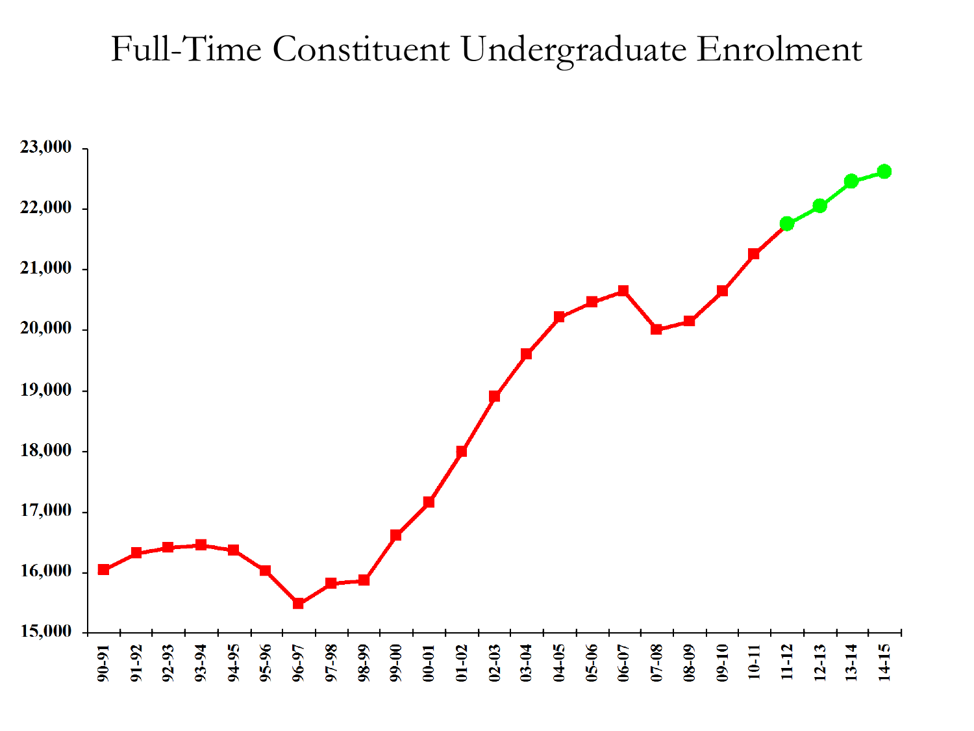### Full-Time Constituent Undergraduate Enrolment

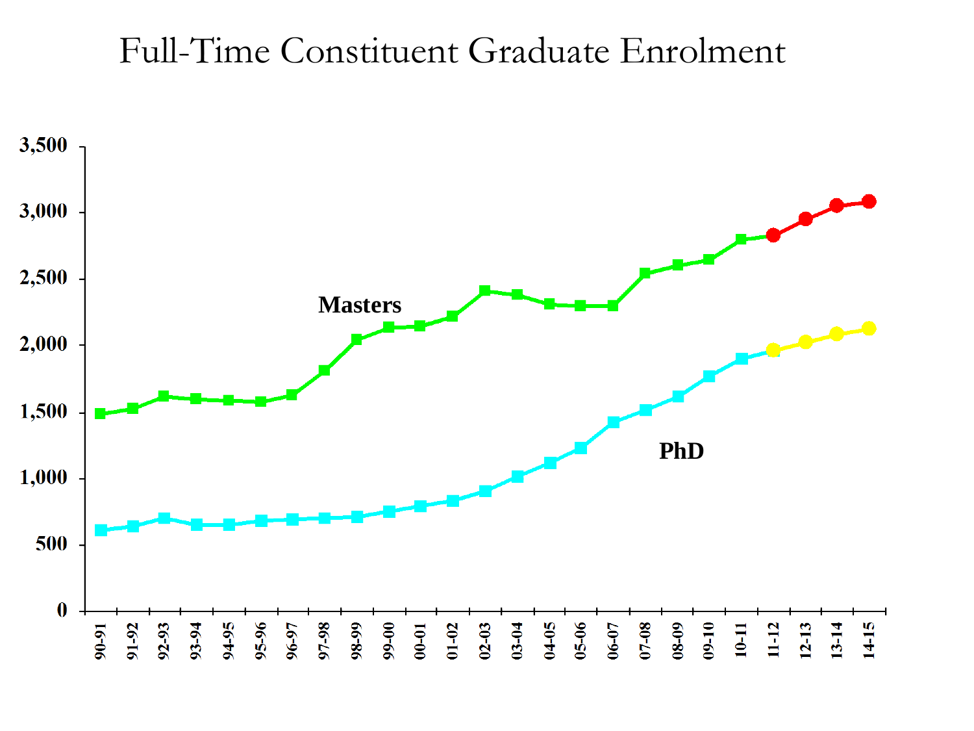### Full-Time Constituent Graduate Enrolment

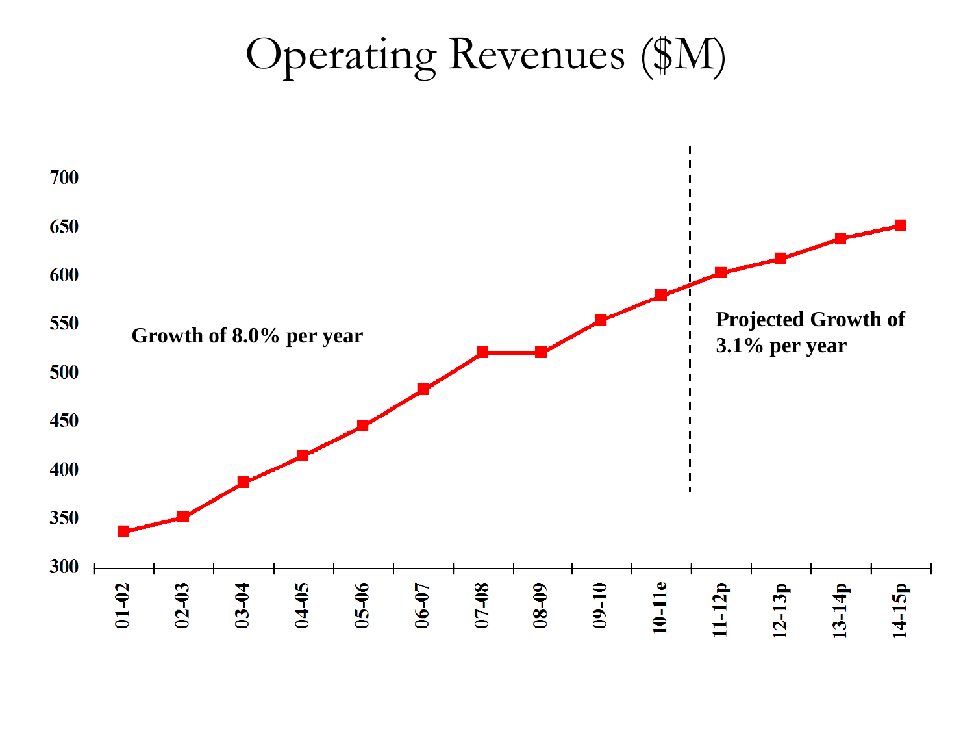### Operating Revenues (\$M)

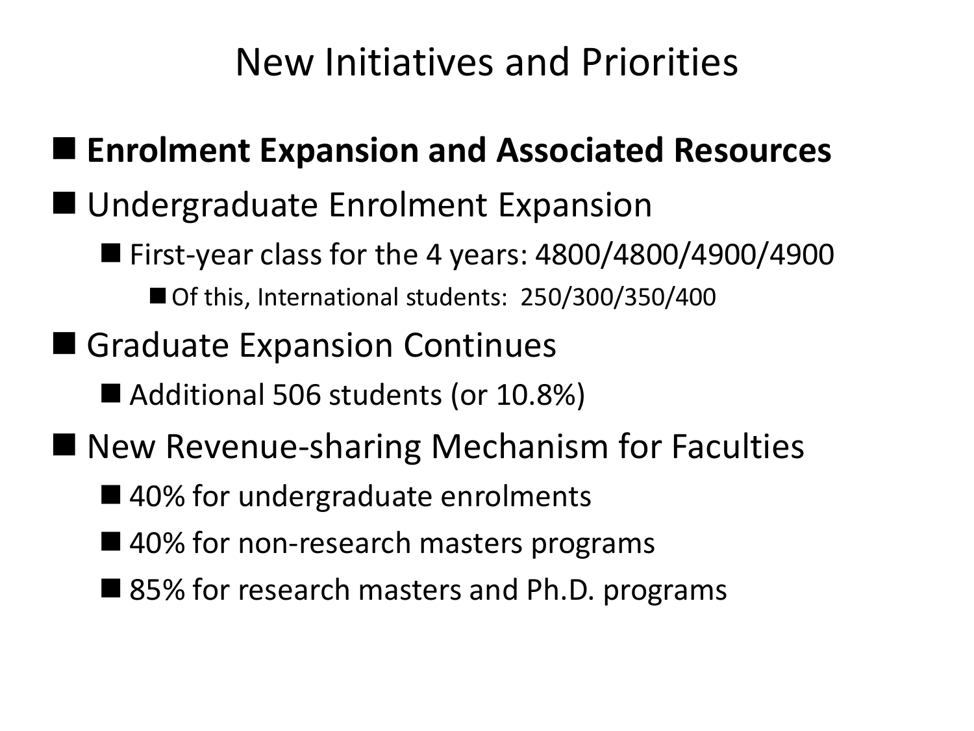New Initiatives and Priorities

### **Enrolment Expansion and Associated Resources**

- Undergraduate Enrolment Expansion
	- First-year class for the 4 years: 4800/4800/4900/4900 ■ Of this, International students: 250/300/350/400
- Graduate Expansion Continues
	- Additional 506 students (or 10.8%)
- New Revenue-sharing Mechanism for Faculties
	- 40% for undergraduate enrolments
	- 40% for non-research masters programs
	- 85% for research masters and Ph.D. programs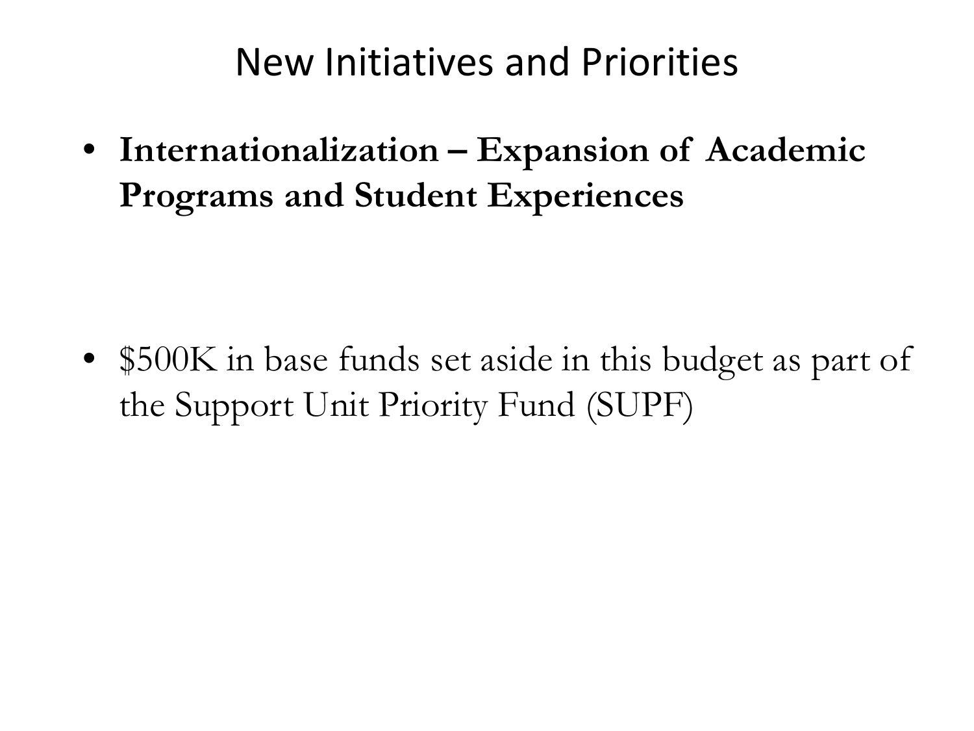### New Initiatives and Priorities

• **Internationalization – Expansion of Academic Programs and Student Experiences**

• \$500K in base funds set aside in this budget as part of the Support Unit Priority Fund (SUPF)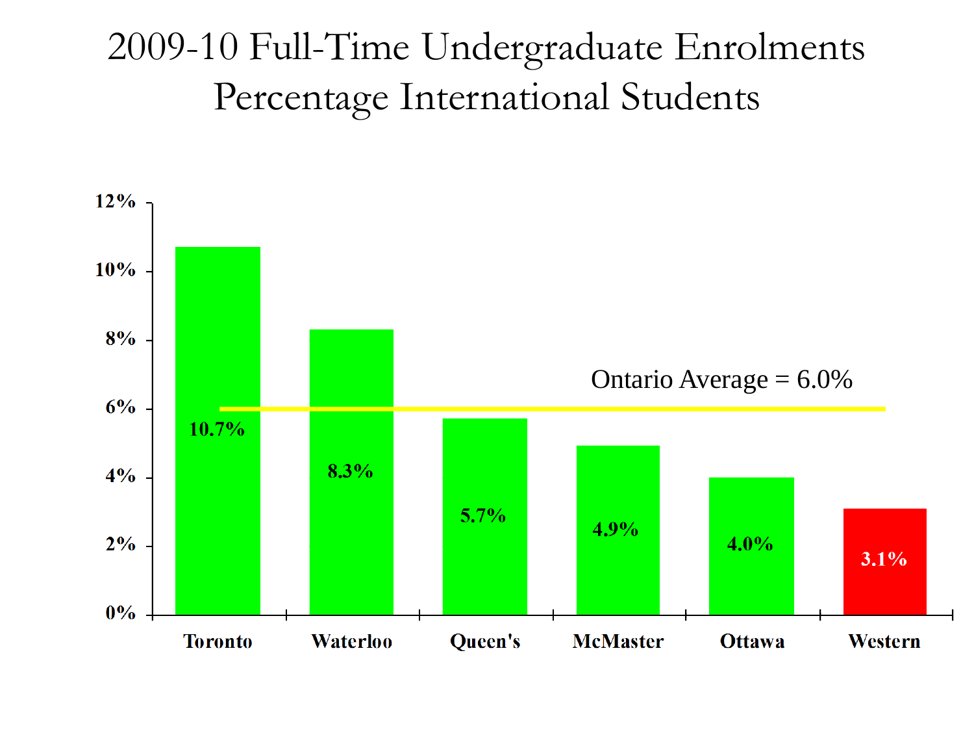### 2009-10 Full-Time Undergraduate Enrolments Percentage International Students

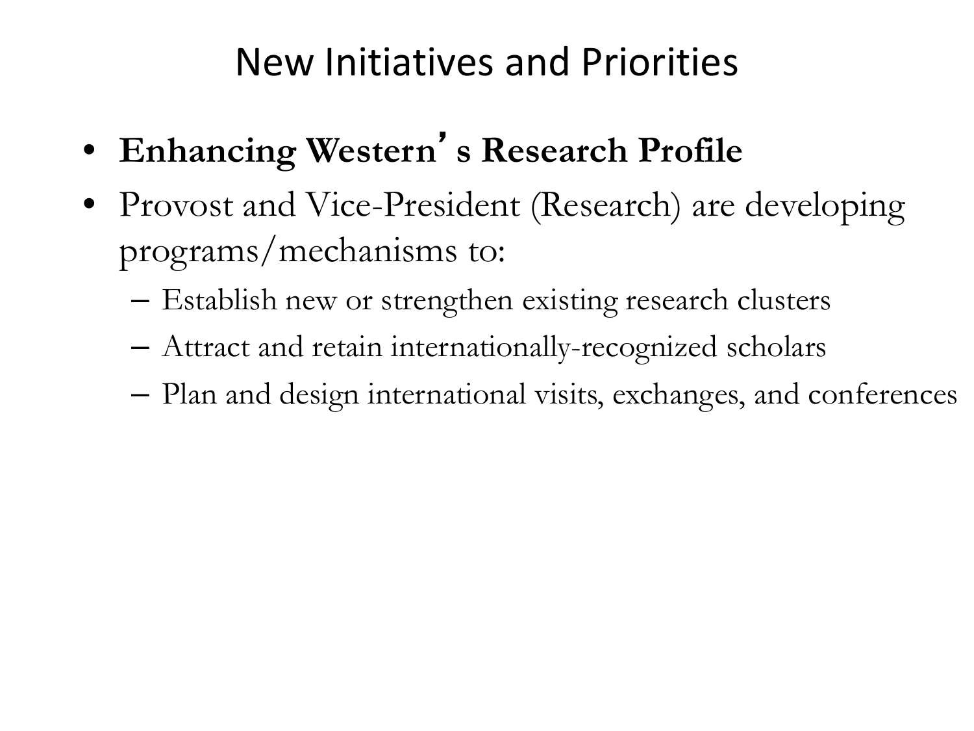### New Initiatives and Priorities

- **Enhancing Western**'**s Research Profile**
- Provost and Vice-President (Research) are developing programs/mechanisms to:
	- Establish new or strengthen existing research clusters
	- Attract and retain internationally-recognized scholars
	- Plan and design international visits, exchanges, and conferences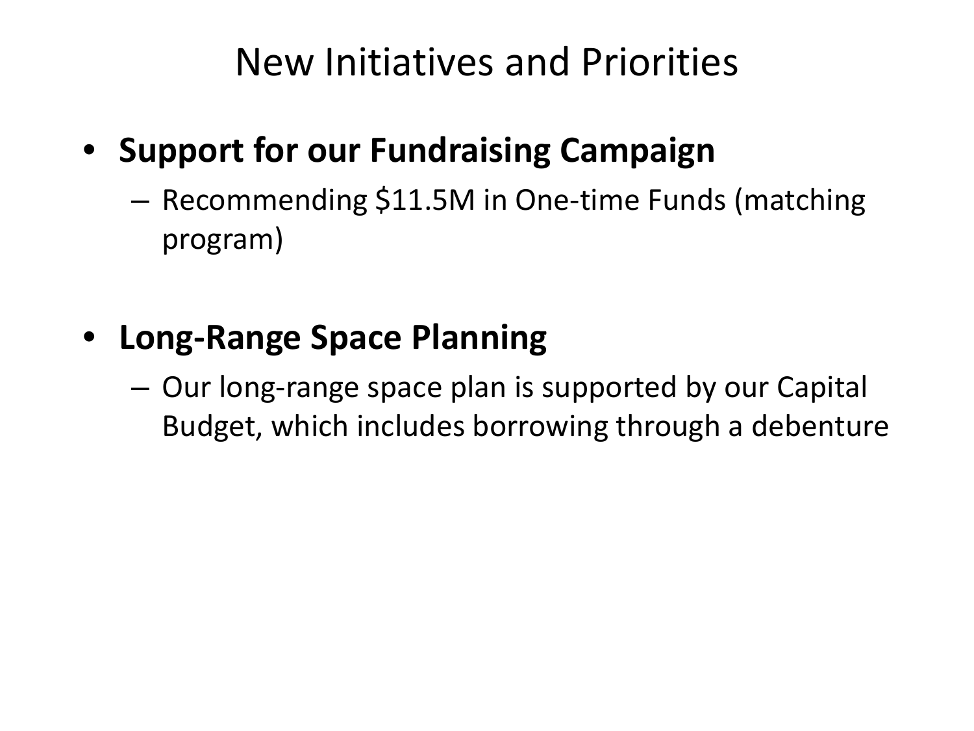New Initiatives and Priorities

- **Support for our Fundraising Campaign**
	- Recommending \$11.5M in One-time Funds (matching program)
- **Long-Range Space Planning**
	- Our long-range space plan is supported by our Capital Budget, which includes borrowing through a debenture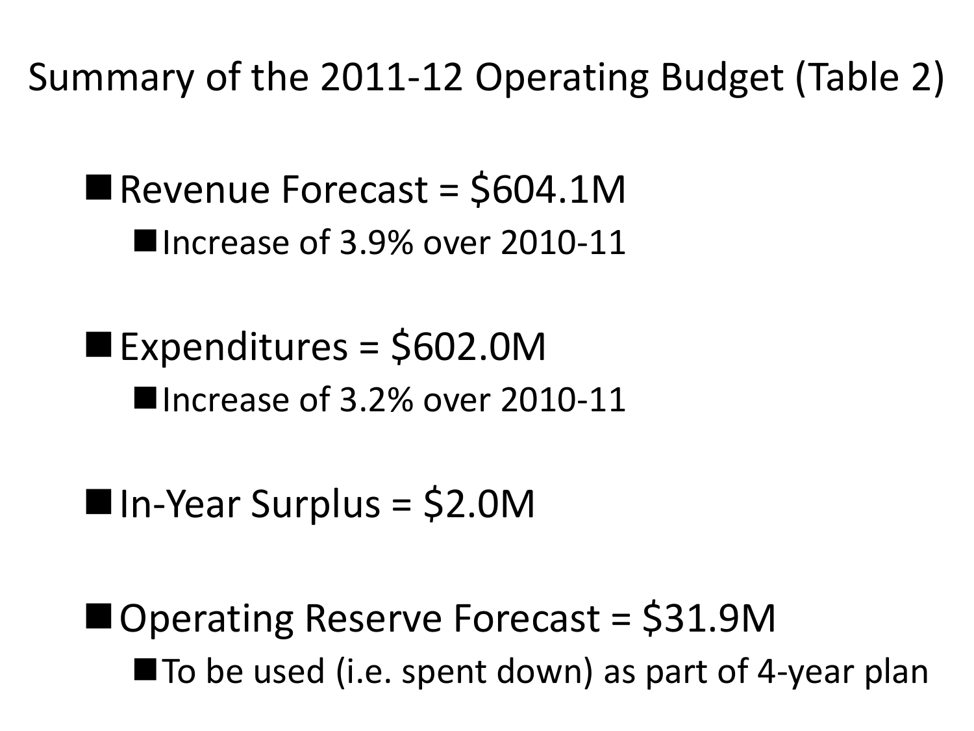Summary of the 2011-12 Operating Budget (Table 2)

Revenue Forecast = \$604.1M  $\blacksquare$  Increase of 3.9% over 2010-11

 $\blacksquare$  Expenditures = \$602.0M  $\blacksquare$  Increase of 3.2% over 2010-11

 $\blacksquare$  In-Year Surplus = \$2.0M

■Operating Reserve Forecast = \$31.9M ■ To be used (i.e. spent down) as part of 4-year plan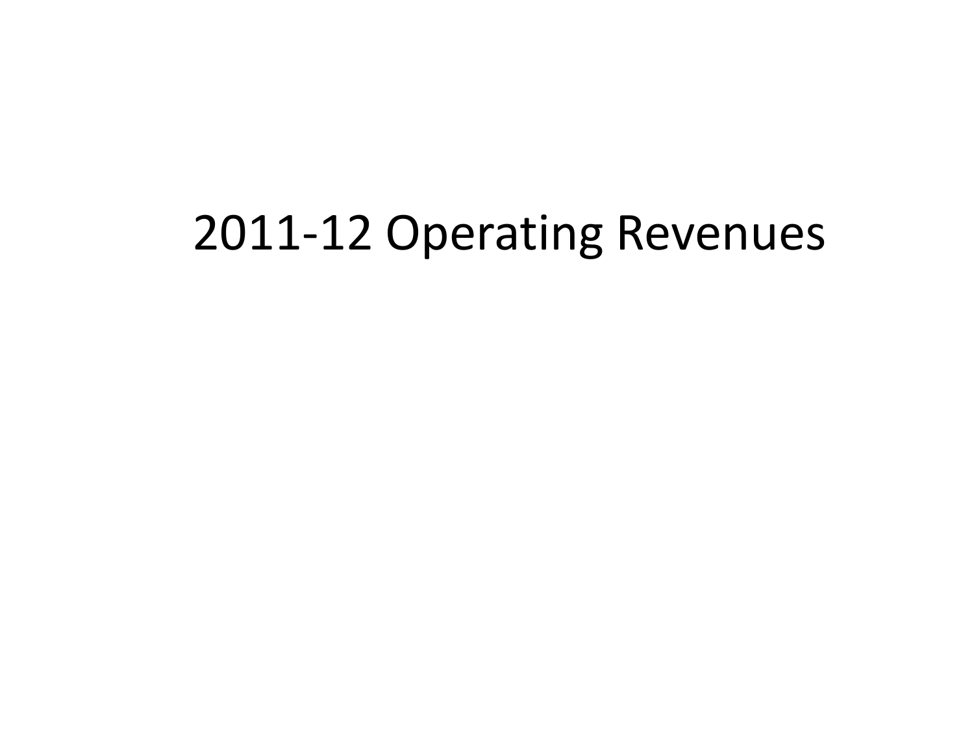## 2011-12 Operating Revenues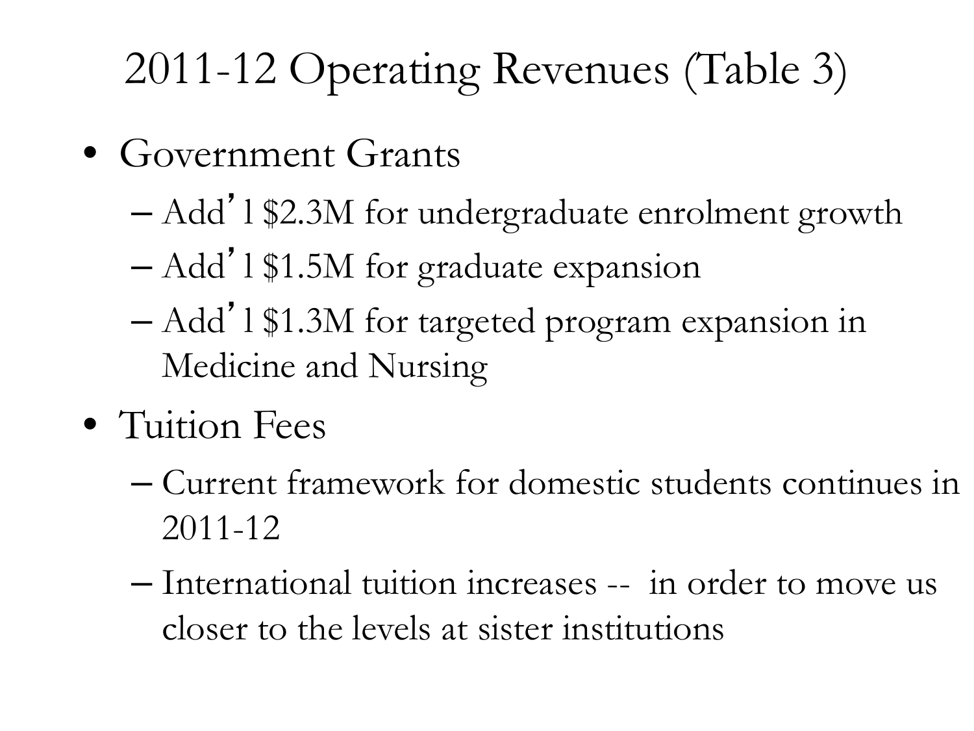# 2011-12 Operating Revenues (Table 3)

- Government Grants
	- Add'l \$2.3M for undergraduate enrolment growth
	- Add'l \$1.5M for graduate expansion
	- Add'l \$1.3M for targeted program expansion in Medicine and Nursing
- Tuition Fees
	- Current framework for domestic students continues in 2011-12
	- International tuition increases -- in order to move us closer to the levels at sister institutions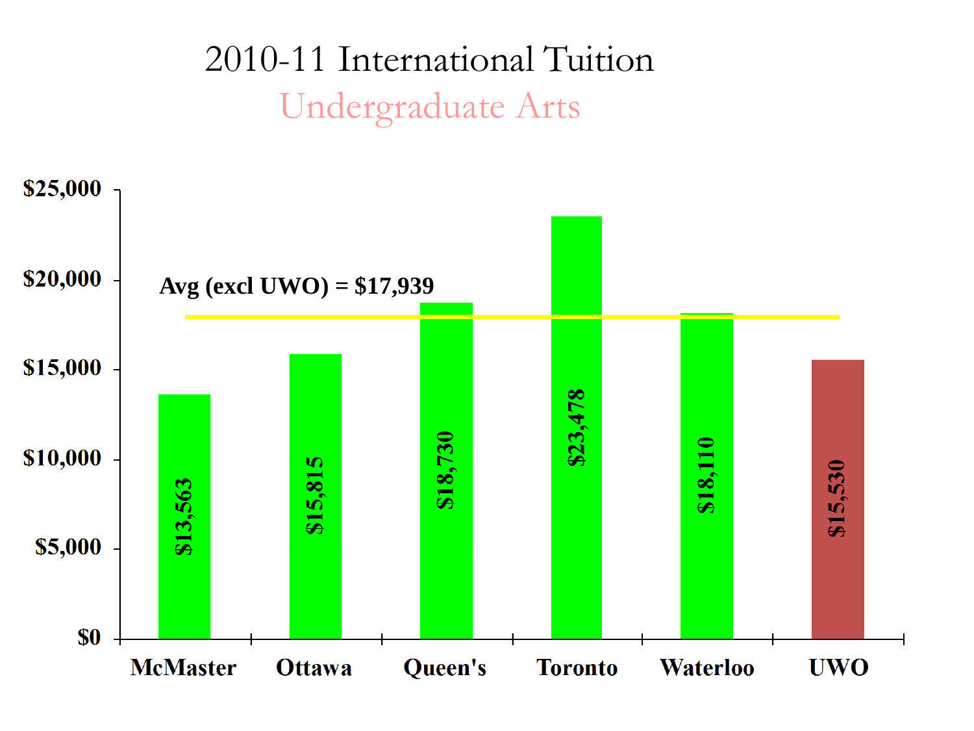### 2010-11 International Tuition Undergraduate Arts

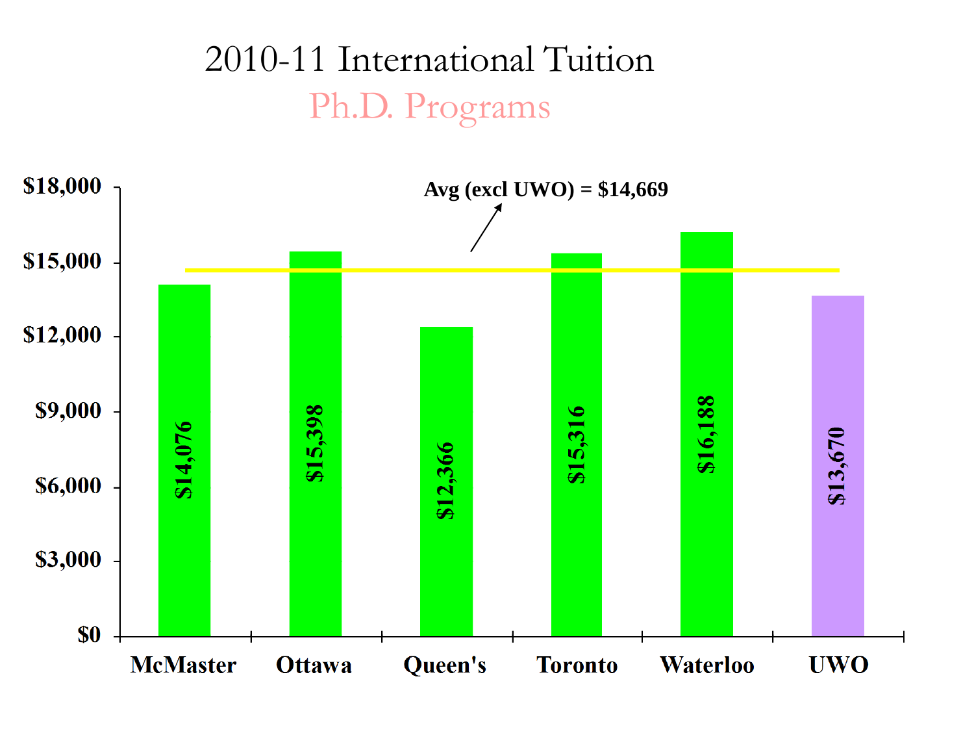### 2010-11 International Tuition Ph.D. Programs

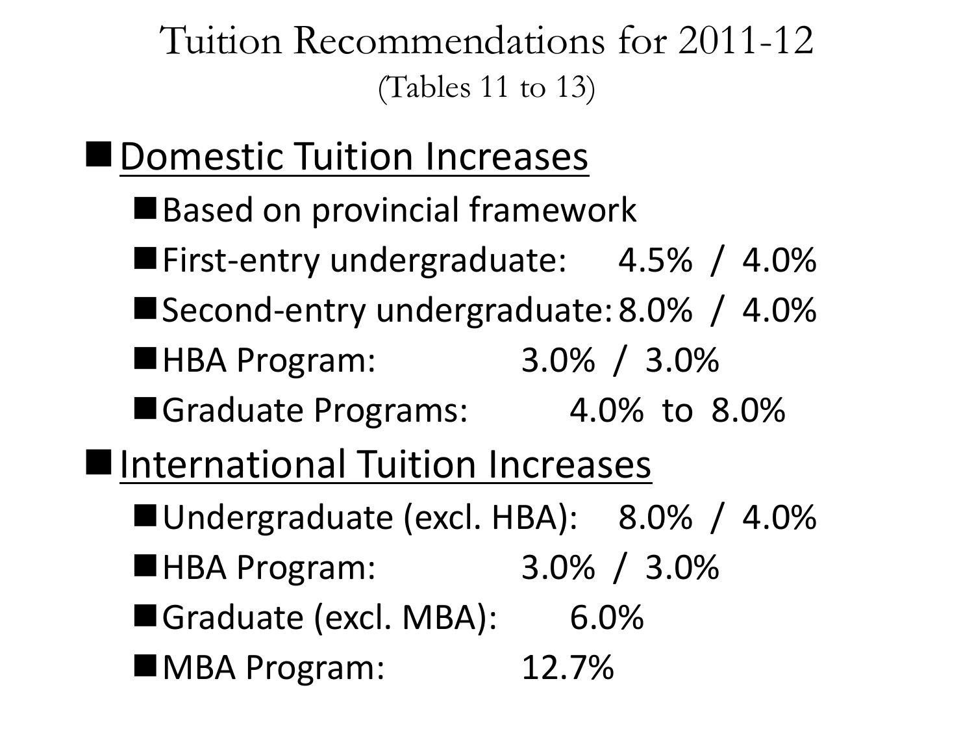### Tuition Recommendations for 2011-12 (Tables 11 to 13)

- **E** Domestic Tuition Increases
	- ■Based on provincial framework
	- First-entry undergraduate: 4.5% / 4.0%
	- Second-entry undergraduate: 8.0% / 4.0%
	- HBA Program: 3.0% / 3.0%
	- Graduate Programs: 4.0% to 8.0%
- ■International Tuition Increases
	- ■Undergraduate (excl. HBA): 8.0% / 4.0%
	- HBA Program: 3.0% / 3.0%
	- Graduate (excl. MBA): 6.0%
	- ■MBA Program: 12.7%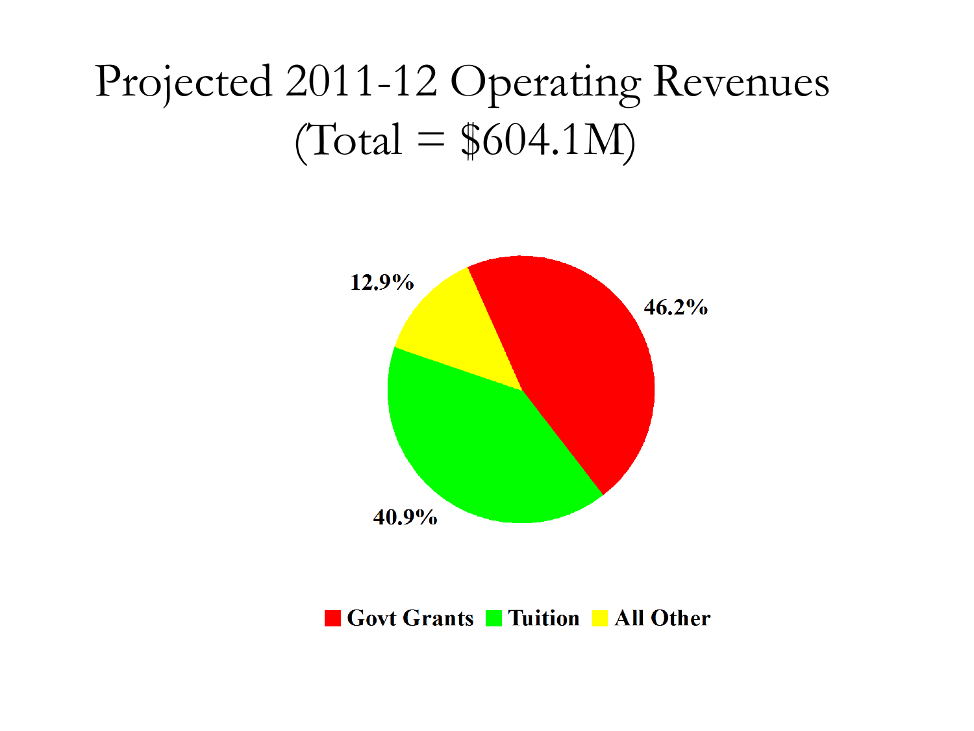## Projected 2011-12 Operating Revenues  $(Total = $604.1M)$



Govt Grants Tuition All Other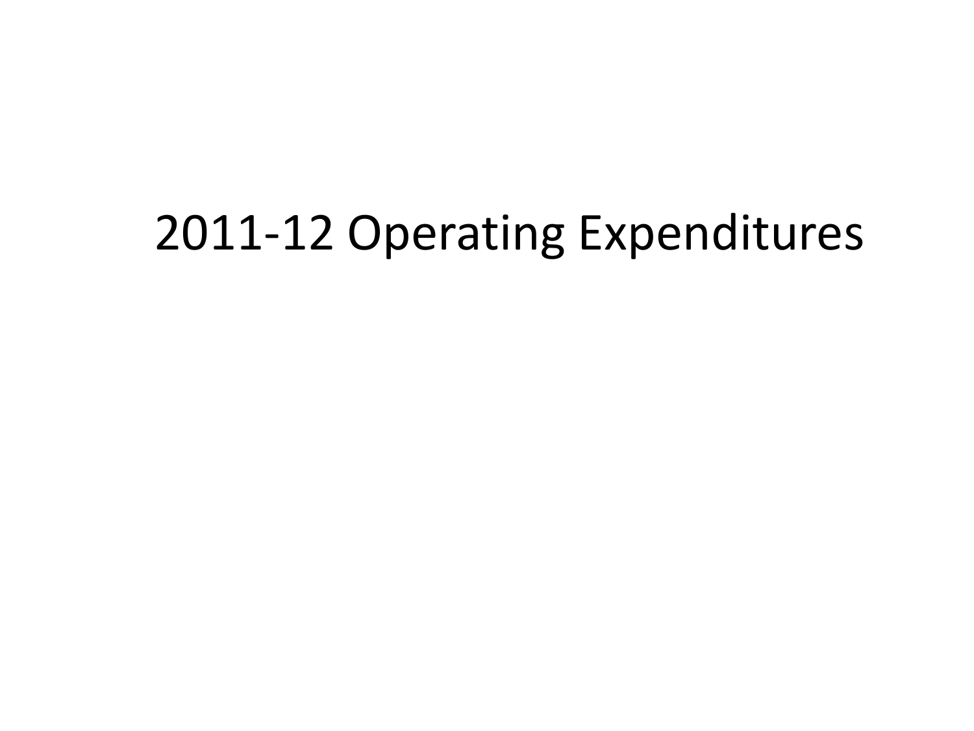# 2011-12 Operating Expenditures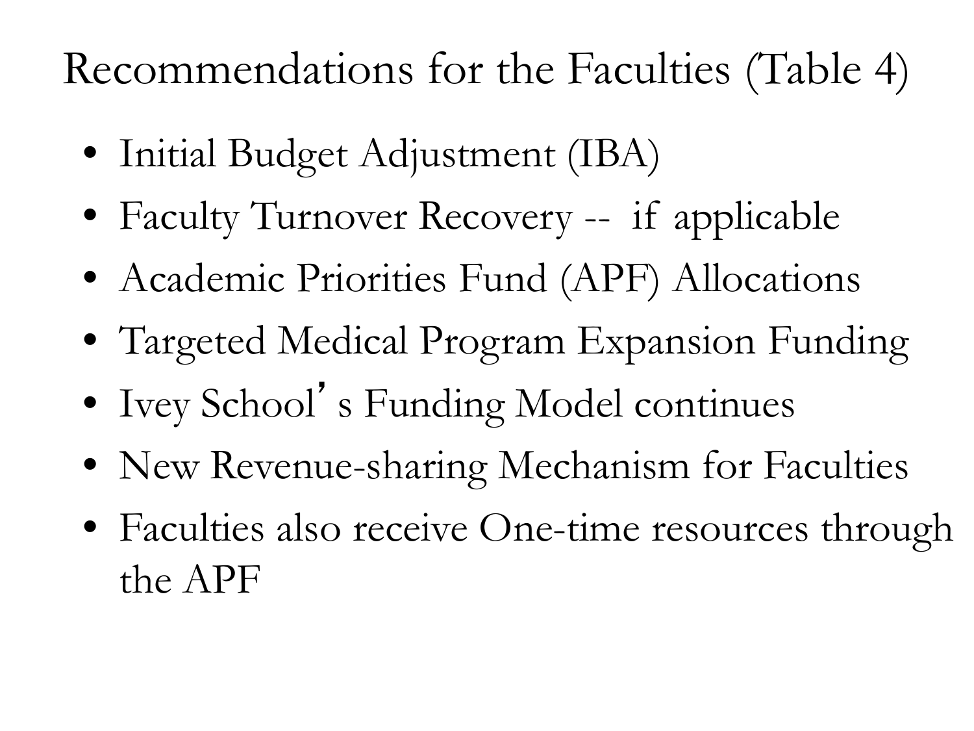Recommendations for the Faculties (Table 4)

- Initial Budget Adjustment (IBA)
- Faculty Turnover Recovery -- if applicable
- Academic Priorities Fund (APF) Allocations
- Targeted Medical Program Expansion Funding
- Ivey School's Funding Model continues
- New Revenue-sharing Mechanism for Faculties
- Faculties also receive One-time resources through the APF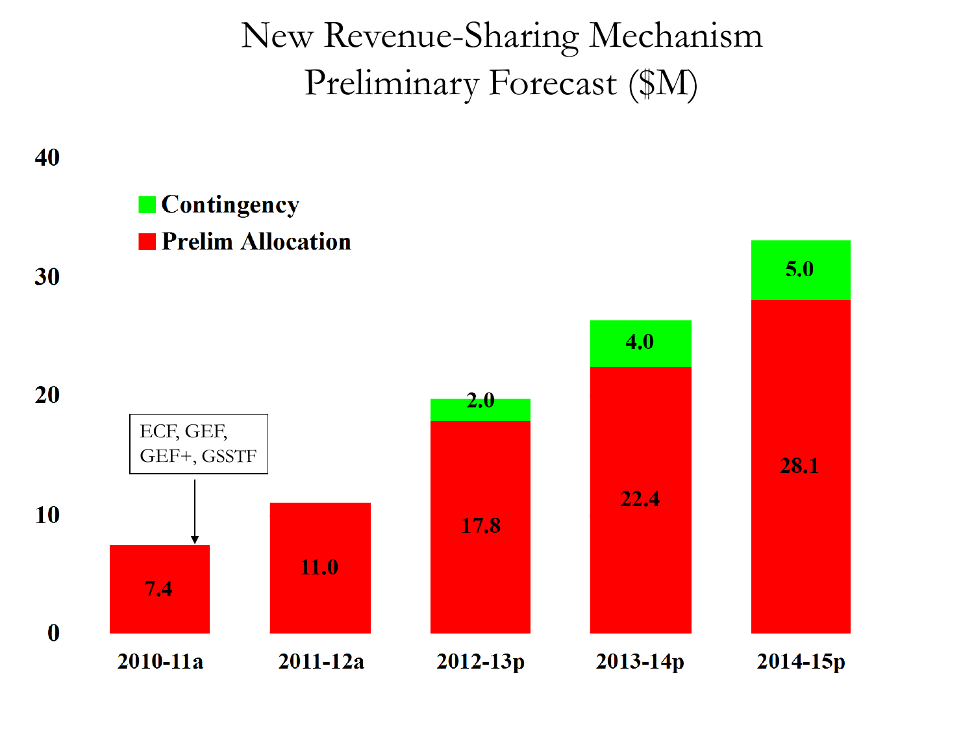New Revenue-Sharing Mechanism Preliminary Forecast (\$M)

40

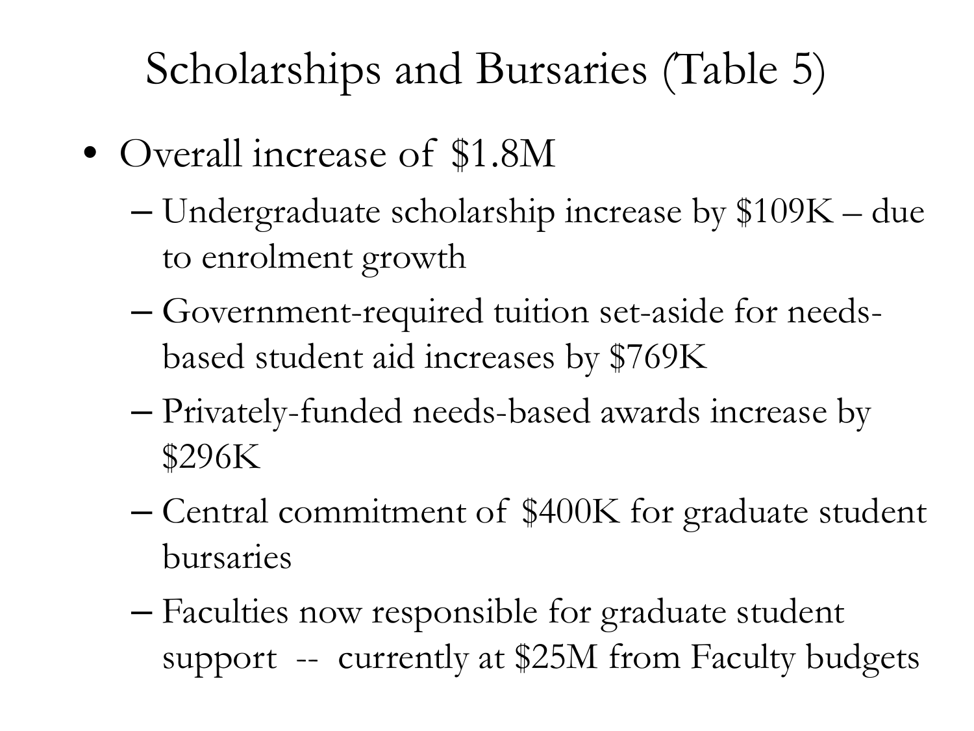Scholarships and Bursaries (Table 5)

- Overall increase of \$1.8M
	- Undergraduate scholarship increase by \$109K due to enrolment growth
	- Government-required tuition set-aside for needsbased student aid increases by \$769K
	- Privately-funded needs-based awards increase by \$296K
	- Central commitment of \$400K for graduate student bursaries
	- Faculties now responsible for graduate student support -- currently at \$25M from Faculty budgets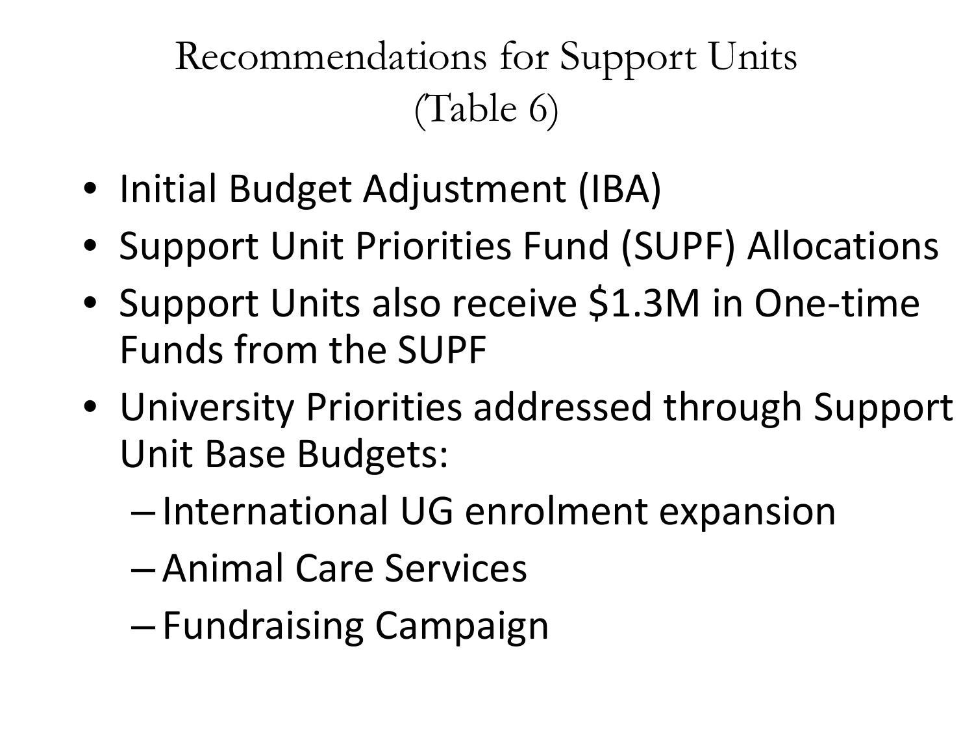## Recommendations for Support Units (Table 6)

- Initial Budget Adjustment (IBA)
- Support Unit Priorities Fund (SUPF) Allocations
- Support Units also receive \$1.3M in One-time Funds from the SUPF
- University Priorities addressed through Support Unit Base Budgets:
	- International UG enrolment expansion
	- Animal Care Services
	- Fundraising Campaign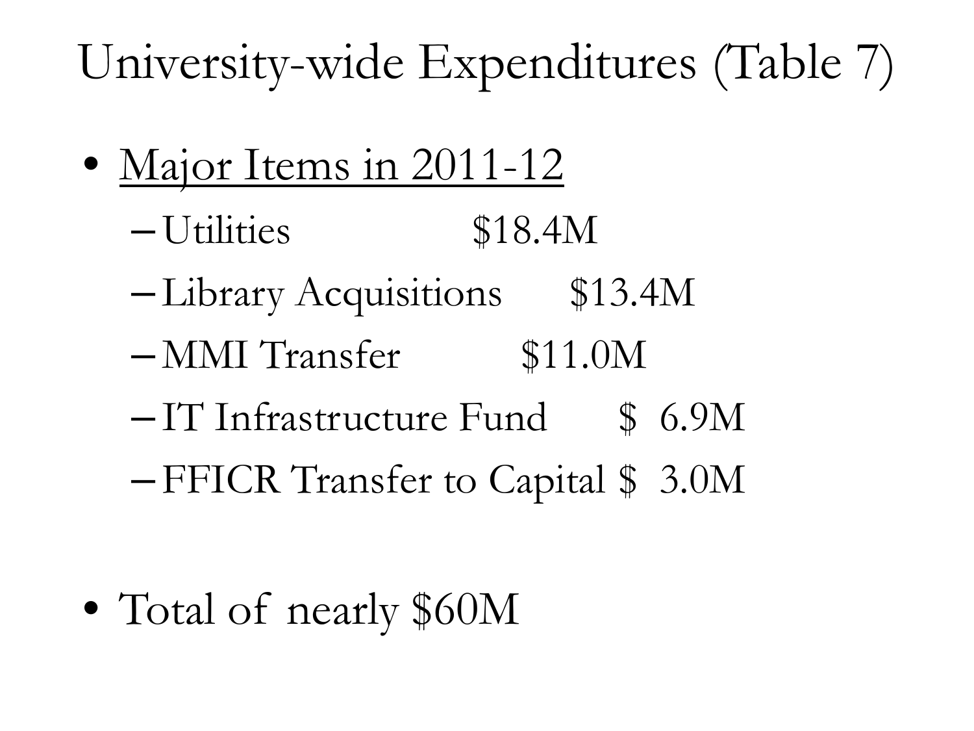University-wide Expenditures (Table 7)

- Major Items in 2011-12
	- $-$ Utilities  $$18.4M$
	- Library Acquisitions \$13.4M
	- MMI Transfer \$11.0M
	- $-$  IT Infrastructure Fund  $$6.9M$
	- FFICR Transfer to Capital \$ 3.0M

• Total of nearly \$60M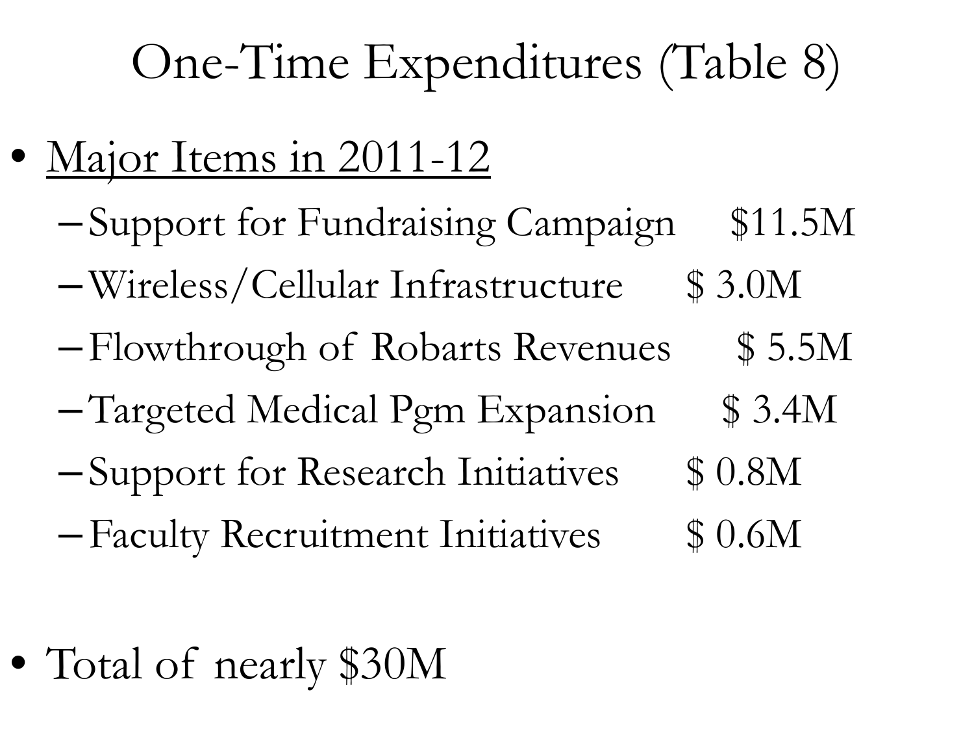One-Time Expenditures (Table 8)

- Major Items in 2011-12
	- Support for Fundraising Campaign \$11.5M
	- $-$ Wireless/Cellular Infrastructure  $$3.0M$
	- $-$  Flowthrough of Robarts Revenues  $$5.5M$
	- –Targeted Medical Pgm Expansion \$ 3.4M
	- $-$  Support for Research Initiatives  $$ 0.8M$
	- $-$  Faculty Recruitment Initiatives  $$ 0.6M$
- 

• Total of nearly \$30M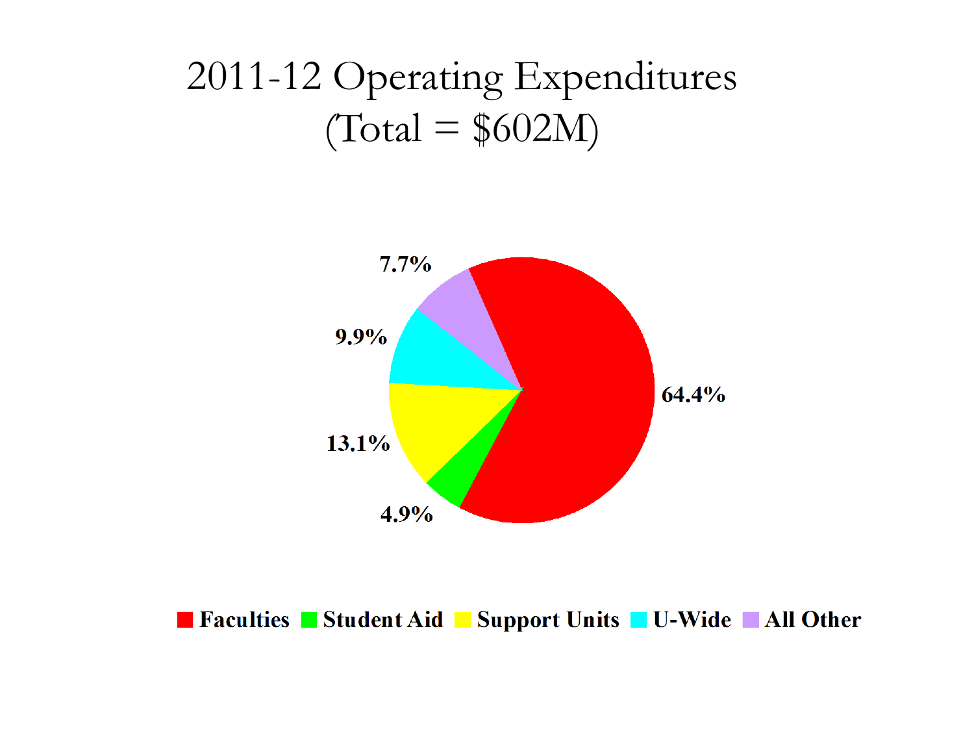## 2011-12 Operating Expenditures  $(Total = $602M)$



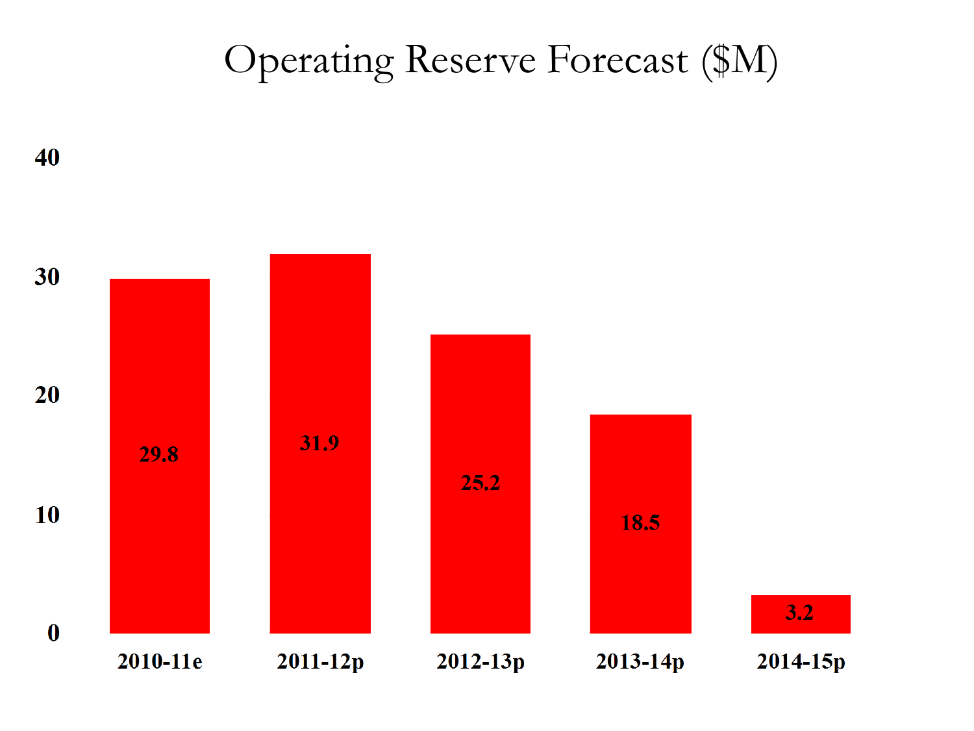### Operating Reserve Forecast (\$M)

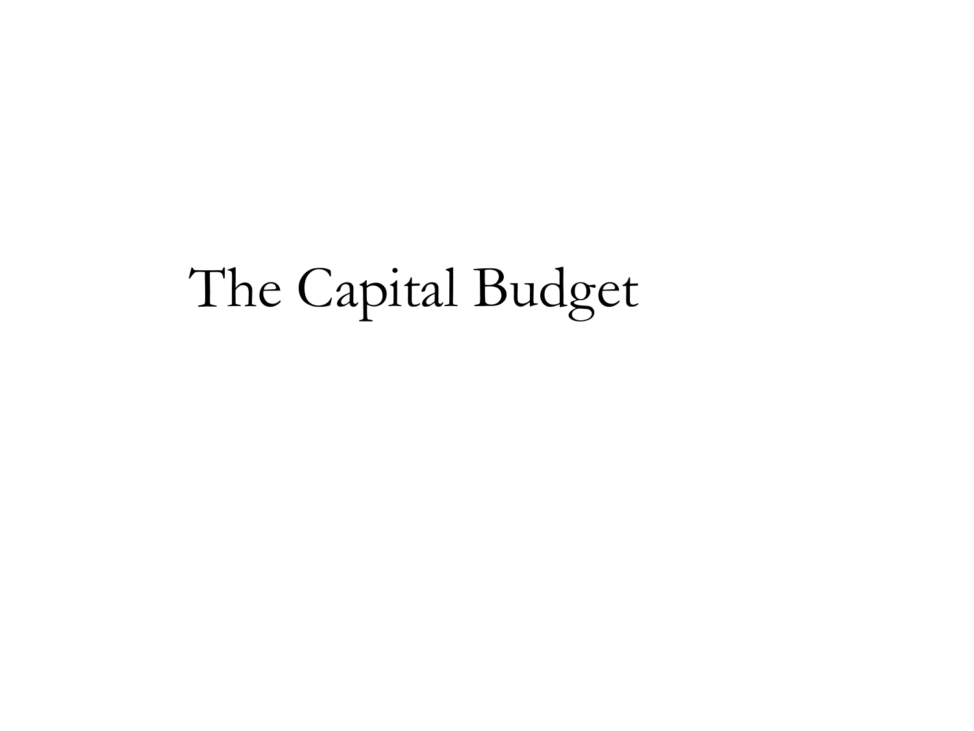# The Capital Budget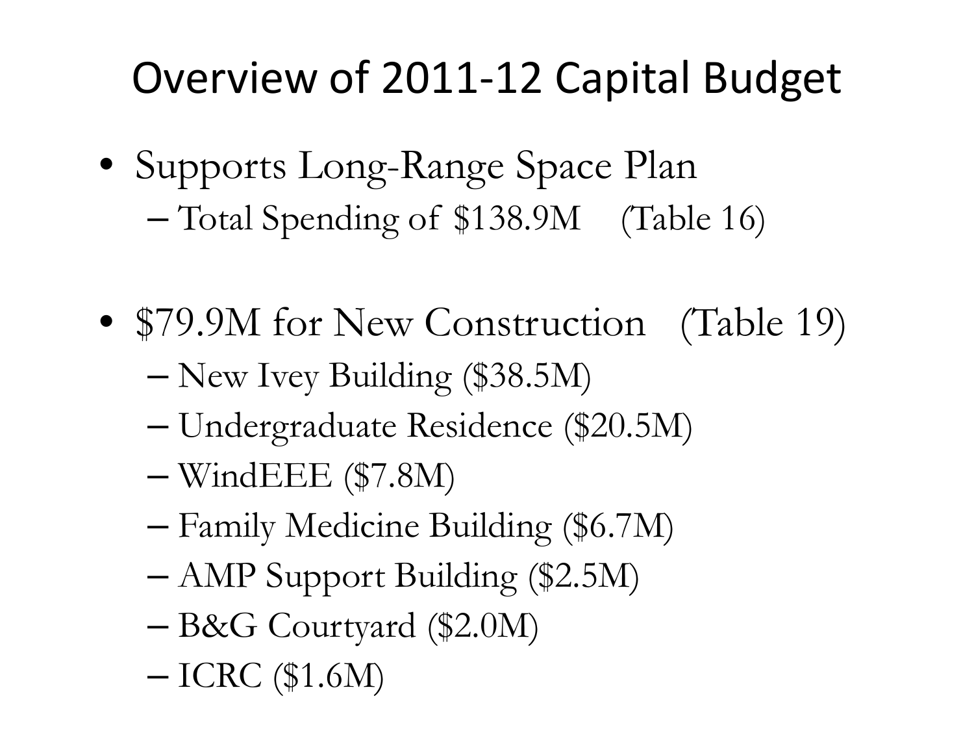## Overview of 2011-12 Capital Budget

- Supports Long-Range Space Plan – Total Spending of \$138.9M (Table 16)
- \$79.9M for New Construction (Table 19)
	- New Ivey Building (\$38.5M)
	- Undergraduate Residence (\$20.5M)
	- $-$  WindEEE (\$7.8M)
	- Family Medicine Building (\$6.7M)
	- AMP Support Building (\$2.5M)
	- B&G Courtyard (\$2.0M)
	- $-$  ICRC (\$1.6M)